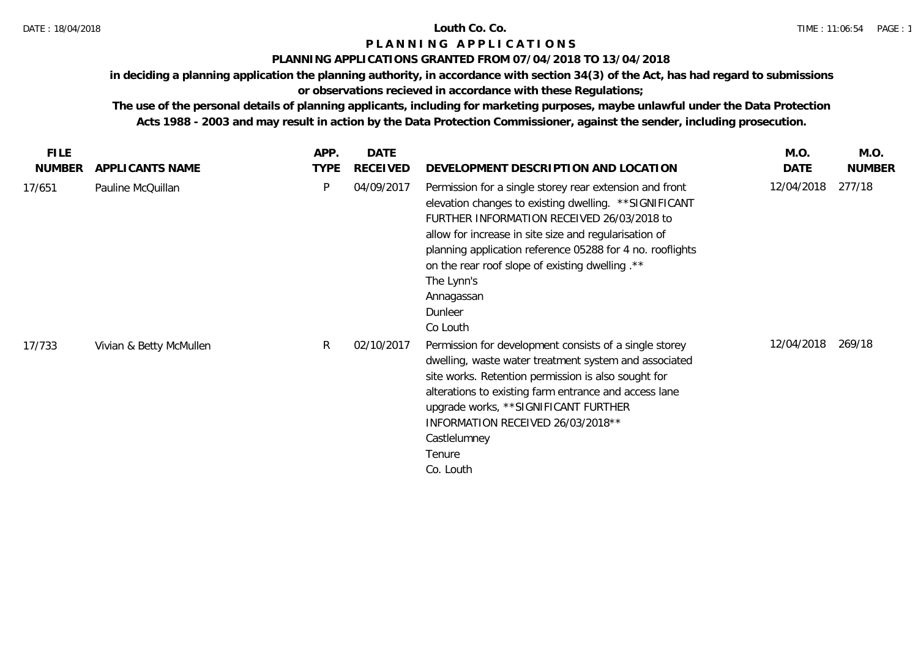### **PLANNING APPLICATIONS GRANTED FROM 07/04/2018 TO 13/04/2018**

**in deciding a planning application the planning authority, in accordance with section 34(3) of the Act, has had regard to submissions** 

# **or observations recieved in accordance with these Regulations;**

| <b>FILE</b>   |                         | APP.        | <b>DATE</b>     |                                                                                                                                                                                                                                                                                                                                                                                             | M.O.       | M.O.          |
|---------------|-------------------------|-------------|-----------------|---------------------------------------------------------------------------------------------------------------------------------------------------------------------------------------------------------------------------------------------------------------------------------------------------------------------------------------------------------------------------------------------|------------|---------------|
| <b>NUMBER</b> | APPLICANTS NAME         | <b>TYPE</b> | <b>RECEIVED</b> | DEVELOPMENT DESCRIPTION AND LOCATION                                                                                                                                                                                                                                                                                                                                                        | DATE       | <b>NUMBER</b> |
| 17/651        | Pauline McQuillan       | P           | 04/09/2017      | Permission for a single storey rear extension and front<br>elevation changes to existing dwelling. ** SIGNIFICANT<br>FURTHER INFORMATION RECEIVED 26/03/2018 to<br>allow for increase in site size and regularisation of<br>planning application reference 05288 for 4 no. rooflights<br>on the rear roof slope of existing dwelling .**<br>The Lynn's<br>Annagassan<br>Dunleer<br>Co Louth | 12/04/2018 | 277/18        |
| 17/733        | Vivian & Betty McMullen | R.          | 02/10/2017      | Permission for development consists of a single storey<br>dwelling, waste water treatment system and associated<br>site works. Retention permission is also sought for<br>alterations to existing farm entrance and access lane<br>upgrade works, **SIGNIFICANT FURTHER<br>INFORMATION RECEIVED 26/03/2018 **<br>Castlelumney<br>Tenure<br>Co. Louth                                        | 12/04/2018 | 269/18        |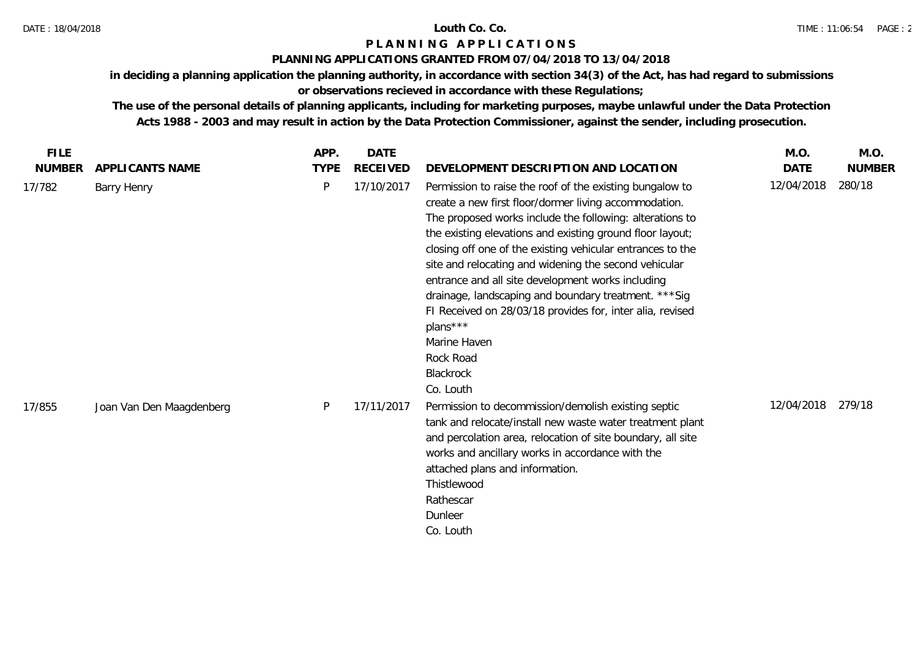### **PLANNING APPLICATIONS GRANTED FROM 07/04/2018 TO 13/04/2018**

**in deciding a planning application the planning authority, in accordance with section 34(3) of the Act, has had regard to submissions or observations recieved in accordance with these Regulations;**

| <b>FILE</b>   |                          | APP.        | DATE            |                                                                                                                                                                                                                                                                                                                                                                                                                                                                                                                                                                                                                 | M.O.       | M.O.          |
|---------------|--------------------------|-------------|-----------------|-----------------------------------------------------------------------------------------------------------------------------------------------------------------------------------------------------------------------------------------------------------------------------------------------------------------------------------------------------------------------------------------------------------------------------------------------------------------------------------------------------------------------------------------------------------------------------------------------------------------|------------|---------------|
| <b>NUMBER</b> | APPLICANTS NAME          | <b>TYPE</b> | <b>RECEIVED</b> | DEVELOPMENT DESCRIPTION AND LOCATION                                                                                                                                                                                                                                                                                                                                                                                                                                                                                                                                                                            | DATE       | <b>NUMBER</b> |
| 17/782        | <b>Barry Henry</b>       | P           | 17/10/2017      | Permission to raise the roof of the existing bungalow to<br>create a new first floor/dormer living accommodation.<br>The proposed works include the following: alterations to<br>the existing elevations and existing ground floor layout;<br>closing off one of the existing vehicular entrances to the<br>site and relocating and widening the second vehicular<br>entrance and all site development works including<br>drainage, landscaping and boundary treatment. *** Sig<br>FI Received on 28/03/18 provides for, inter alia, revised<br>plans***<br>Marine Haven<br>Rock Road<br>Blackrock<br>Co. Louth | 12/04/2018 | 280/18        |
| 17/855        | Joan Van Den Maagdenberg | P           | 17/11/2017      | Permission to decommission/demolish existing septic<br>tank and relocate/install new waste water treatment plant<br>and percolation area, relocation of site boundary, all site<br>works and ancillary works in accordance with the<br>attached plans and information.<br>Thistlewood<br>Rathescar<br>Dunleer<br>Co. Louth                                                                                                                                                                                                                                                                                      | 12/04/2018 | 279/18        |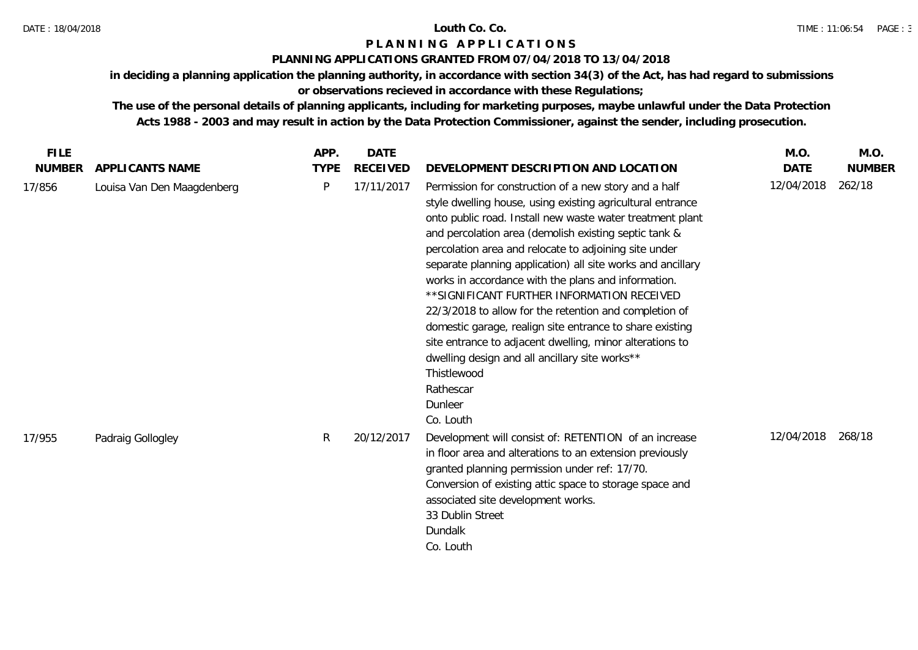### DATE : 18/04/2018 **Louth Co. Co.**

# **P L A N N I N G A P P L I C A T I O N S**

## **PLANNING APPLICATIONS GRANTED FROM 07/04/2018 TO 13/04/2018**

**in deciding a planning application the planning authority, in accordance with section 34(3) of the Act, has had regard to submissions** 

**or observations recieved in accordance with these Regulations;**

| <b>FILE</b>   |                            | APP.        | <b>DATE</b>     |                                                                                                                                                                                                                                                                                                                                                                                                                                                                                                                                                                                                                                                                                                                                                                 | M.O.        | M.O.          |
|---------------|----------------------------|-------------|-----------------|-----------------------------------------------------------------------------------------------------------------------------------------------------------------------------------------------------------------------------------------------------------------------------------------------------------------------------------------------------------------------------------------------------------------------------------------------------------------------------------------------------------------------------------------------------------------------------------------------------------------------------------------------------------------------------------------------------------------------------------------------------------------|-------------|---------------|
| <b>NUMBER</b> | APPLICANTS NAME            | <b>TYPE</b> | <b>RECEIVED</b> | DEVELOPMENT DESCRIPTION AND LOCATION                                                                                                                                                                                                                                                                                                                                                                                                                                                                                                                                                                                                                                                                                                                            | <b>DATE</b> | <b>NUMBER</b> |
| 17/856        | Louisa Van Den Maagdenberg | P           | 17/11/2017      | Permission for construction of a new story and a half<br>style dwelling house, using existing agricultural entrance<br>onto public road. Install new waste water treatment plant<br>and percolation area (demolish existing septic tank &<br>percolation area and relocate to adjoining site under<br>separate planning application) all site works and ancillary<br>works in accordance with the plans and information.<br>** SIGNIFICANT FURTHER INFORMATION RECEIVED<br>22/3/2018 to allow for the retention and completion of<br>domestic garage, realign site entrance to share existing<br>site entrance to adjacent dwelling, minor alterations to<br>dwelling design and all ancillary site works**<br>Thistlewood<br>Rathescar<br>Dunleer<br>Co. Louth | 12/04/2018  | 262/18        |
| 17/955        | Padraig Gollogley          | R           | 20/12/2017      | Development will consist of: RETENTION of an increase<br>in floor area and alterations to an extension previously<br>granted planning permission under ref: 17/70.<br>Conversion of existing attic space to storage space and<br>associated site development works.<br>33 Dublin Street<br>Dundalk<br>Co. Louth                                                                                                                                                                                                                                                                                                                                                                                                                                                 | 12/04/2018  | 268/18        |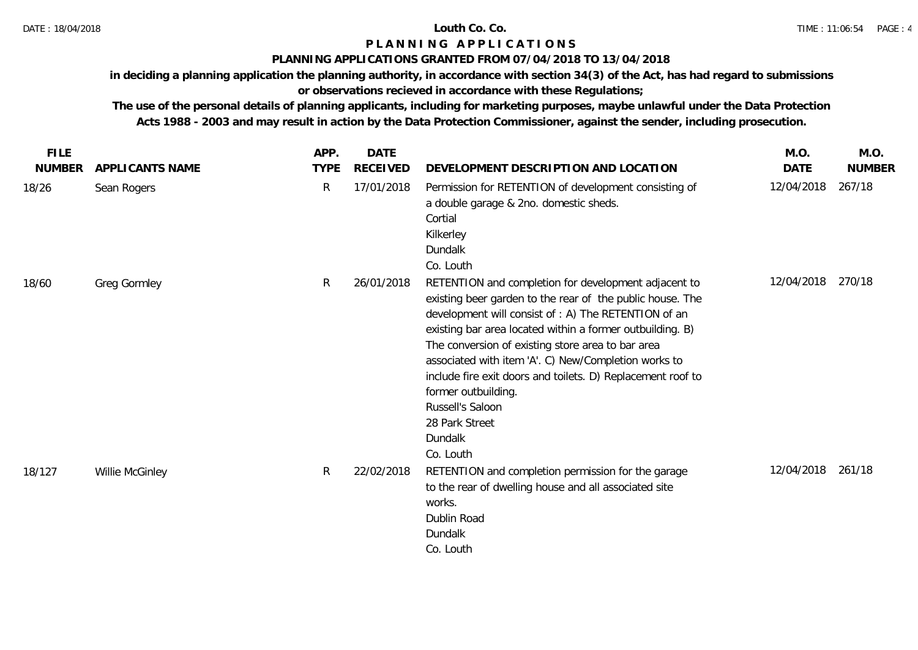## **PLANNING APPLICATIONS GRANTED FROM 07/04/2018 TO 13/04/2018**

**in deciding a planning application the planning authority, in accordance with section 34(3) of the Act, has had regard to submissions** 

# **or observations recieved in accordance with these Regulations;**

| <b>FILE</b>   |                 | APP.        | DATE            |                                                                                                                                                                                                                                                                                                                                                                                                                                                                                                         | M.O.        | M.O.          |
|---------------|-----------------|-------------|-----------------|---------------------------------------------------------------------------------------------------------------------------------------------------------------------------------------------------------------------------------------------------------------------------------------------------------------------------------------------------------------------------------------------------------------------------------------------------------------------------------------------------------|-------------|---------------|
| <b>NUMBER</b> | APPLICANTS NAME | <b>TYPE</b> | <b>RECEIVED</b> | DEVELOPMENT DESCRIPTION AND LOCATION                                                                                                                                                                                                                                                                                                                                                                                                                                                                    | <b>DATE</b> | <b>NUMBER</b> |
| 18/26         | Sean Rogers     | R           | 17/01/2018      | Permission for RETENTION of development consisting of<br>a double garage & 2no. domestic sheds.<br>Cortial<br>Kilkerley<br>Dundalk<br>Co. Louth                                                                                                                                                                                                                                                                                                                                                         | 12/04/2018  | 267/18        |
| 18/60         | Greg Gormley    | R           | 26/01/2018      | RETENTION and completion for development adjacent to<br>existing beer garden to the rear of the public house. The<br>development will consist of : A) The RETENTION of an<br>existing bar area located within a former outbuilding. B)<br>The conversion of existing store area to bar area<br>associated with item 'A'. C) New/Completion works to<br>include fire exit doors and toilets. D) Replacement roof to<br>former outbuilding.<br>Russell's Saloon<br>28 Park Street<br>Dundalk<br>Co. Louth | 12/04/2018  | 270/18        |
| 18/127        | Willie McGinley | R           | 22/02/2018      | RETENTION and completion permission for the garage<br>to the rear of dwelling house and all associated site<br>works.<br>Dublin Road<br>Dundalk<br>Co. Louth                                                                                                                                                                                                                                                                                                                                            | 12/04/2018  | 261/18        |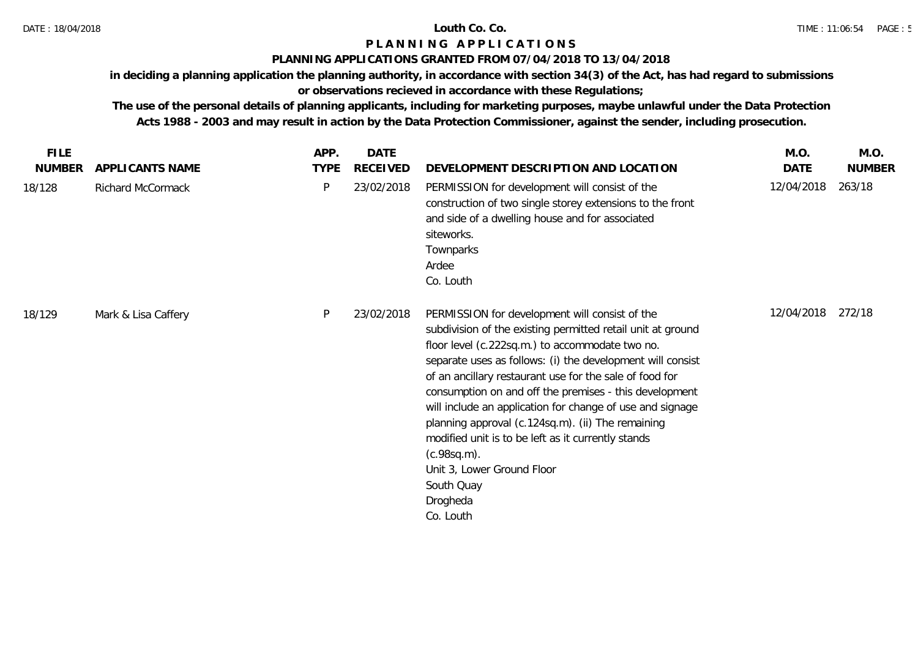## **PLANNING APPLICATIONS GRANTED FROM 07/04/2018 TO 13/04/2018**

**in deciding a planning application the planning authority, in accordance with section 34(3) of the Act, has had regard to submissions** 

# **or observations recieved in accordance with these Regulations;**

| <b>FILE</b>   |                     | APP.        | DATE            |                                                                                                                                                                                                                                                                                                                                                                                                                                                                                                                                                                                                                 | M.O.       | M.O.          |
|---------------|---------------------|-------------|-----------------|-----------------------------------------------------------------------------------------------------------------------------------------------------------------------------------------------------------------------------------------------------------------------------------------------------------------------------------------------------------------------------------------------------------------------------------------------------------------------------------------------------------------------------------------------------------------------------------------------------------------|------------|---------------|
| <b>NUMBER</b> | APPLICANTS NAME     | <b>TYPE</b> | <b>RECEIVED</b> | DEVELOPMENT DESCRIPTION AND LOCATION                                                                                                                                                                                                                                                                                                                                                                                                                                                                                                                                                                            | DATE       | <b>NUMBER</b> |
| 18/128        | Richard McCormack   | P           | 23/02/2018      | PERMISSION for development will consist of the<br>construction of two single storey extensions to the front<br>and side of a dwelling house and for associated<br>siteworks.<br>Townparks<br>Ardee<br>Co. Louth                                                                                                                                                                                                                                                                                                                                                                                                 | 12/04/2018 | 263/18        |
| 18/129        | Mark & Lisa Caffery | P           | 23/02/2018      | PERMISSION for development will consist of the<br>subdivision of the existing permitted retail unit at ground<br>floor level (c.222sq.m.) to accommodate two no.<br>separate uses as follows: (i) the development will consist<br>of an ancillary restaurant use for the sale of food for<br>consumption on and off the premises - this development<br>will include an application for change of use and signage<br>planning approval (c.124sq.m). (ii) The remaining<br>modified unit is to be left as it currently stands<br>(c.98sq.m).<br>Unit 3, Lower Ground Floor<br>South Quay<br>Drogheda<br>Co. Louth | 12/04/2018 | 272/18        |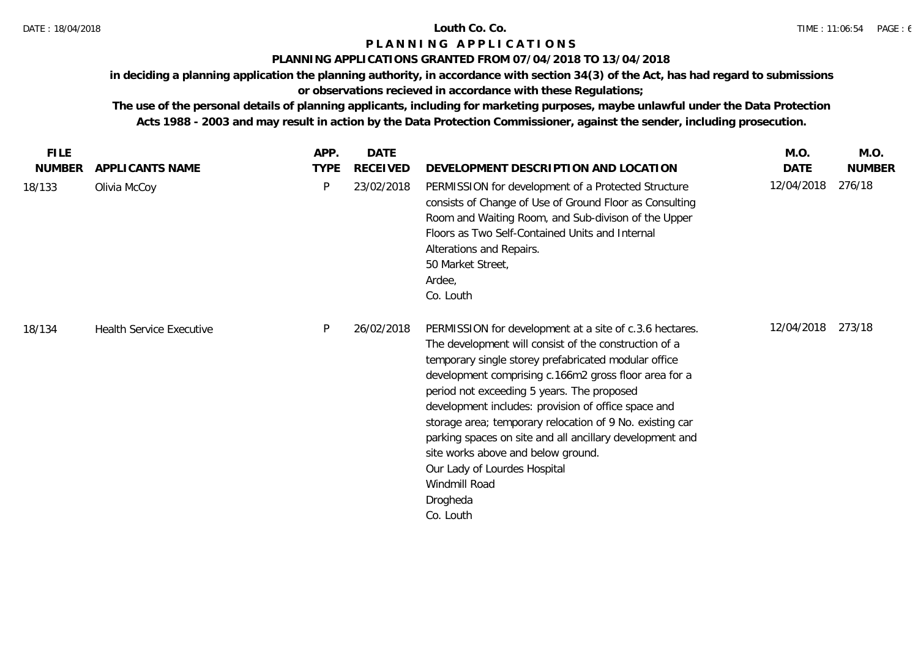## **PLANNING APPLICATIONS GRANTED FROM 07/04/2018 TO 13/04/2018**

**in deciding a planning application the planning authority, in accordance with section 34(3) of the Act, has had regard to submissions** 

# **or observations recieved in accordance with these Regulations;**

| <b>FILE</b>   |                                 | APP.        | <b>DATE</b>     |                                                                                                                                                                                                                                                                                                                                                                                                                                                                                                                                                                                | M.O.       | M.O.          |
|---------------|---------------------------------|-------------|-----------------|--------------------------------------------------------------------------------------------------------------------------------------------------------------------------------------------------------------------------------------------------------------------------------------------------------------------------------------------------------------------------------------------------------------------------------------------------------------------------------------------------------------------------------------------------------------------------------|------------|---------------|
| <b>NUMBER</b> | APPLICANTS NAME                 | <b>TYPE</b> | <b>RECEIVED</b> | DEVELOPMENT DESCRIPTION AND LOCATION                                                                                                                                                                                                                                                                                                                                                                                                                                                                                                                                           | DATE       | <b>NUMBER</b> |
| 18/133        | Olivia McCoy                    | P           | 23/02/2018      | PERMISSION for development of a Protected Structure<br>consists of Change of Use of Ground Floor as Consulting<br>Room and Waiting Room, and Sub-divison of the Upper<br>Floors as Two Self-Contained Units and Internal<br>Alterations and Repairs.<br>50 Market Street,<br>Ardee,<br>Co. Louth                                                                                                                                                                                                                                                                               | 12/04/2018 | 276/18        |
| 18/134        | <b>Health Service Executive</b> | P           | 26/02/2018      | PERMISSION for development at a site of c.3.6 hectares.<br>The development will consist of the construction of a<br>temporary single storey prefabricated modular office<br>development comprising c.166m2 gross floor area for a<br>period not exceeding 5 years. The proposed<br>development includes: provision of office space and<br>storage area; temporary relocation of 9 No. existing car<br>parking spaces on site and all ancillary development and<br>site works above and below ground.<br>Our Lady of Lourdes Hospital<br>Windmill Road<br>Drogheda<br>Co. Louth | 12/04/2018 | 273/18        |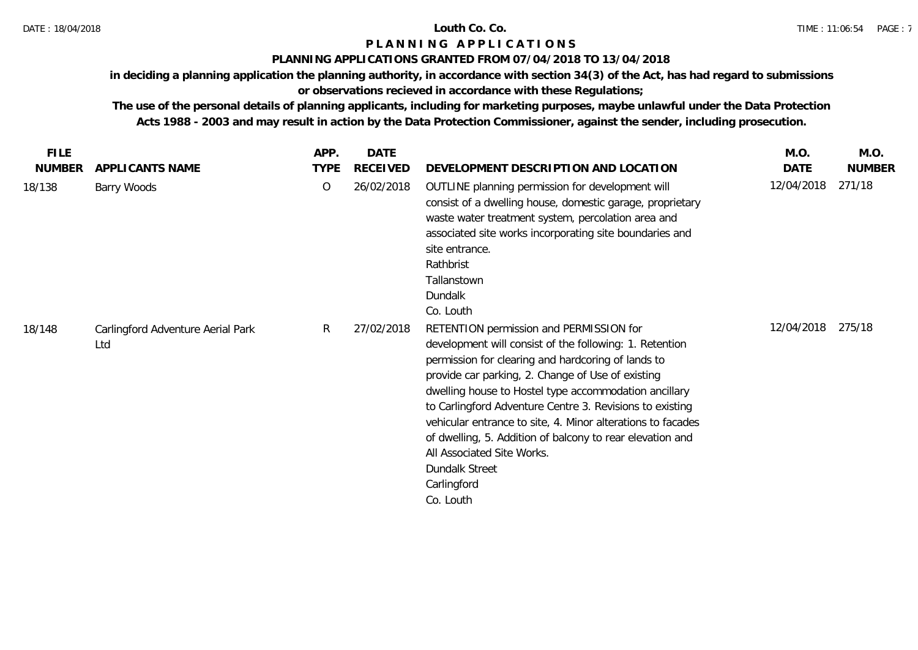### **PLANNING APPLICATIONS GRANTED FROM 07/04/2018 TO 13/04/2018**

**in deciding a planning application the planning authority, in accordance with section 34(3) of the Act, has had regard to submissions** 

# **or observations recieved in accordance with these Regulations;**

| <b>FILE</b>   |                                          | APP.        | <b>DATE</b>     |                                                                                                                                                                                                                                                                                                                                                                                                                                                                                                                                            | M.O.       | M.O.          |
|---------------|------------------------------------------|-------------|-----------------|--------------------------------------------------------------------------------------------------------------------------------------------------------------------------------------------------------------------------------------------------------------------------------------------------------------------------------------------------------------------------------------------------------------------------------------------------------------------------------------------------------------------------------------------|------------|---------------|
| <b>NUMBER</b> | APPLICANTS NAME                          | <b>TYPE</b> | <b>RECEIVED</b> | DEVELOPMENT DESCRIPTION AND LOCATION                                                                                                                                                                                                                                                                                                                                                                                                                                                                                                       | DATE       | <b>NUMBER</b> |
| 18/138        | Barry Woods                              | $\circ$     | 26/02/2018      | OUTLINE planning permission for development will<br>consist of a dwelling house, domestic garage, proprietary<br>waste water treatment system, percolation area and<br>associated site works incorporating site boundaries and<br>site entrance.<br>Rathbrist<br>Tallanstown<br>Dundalk<br>Co. Louth                                                                                                                                                                                                                                       | 12/04/2018 | 271/18        |
| 18/148        | Carlingford Adventure Aerial Park<br>Ltd | R.          | 27/02/2018      | RETENTION permission and PERMISSION for<br>development will consist of the following: 1. Retention<br>permission for clearing and hardcoring of lands to<br>provide car parking, 2. Change of Use of existing<br>dwelling house to Hostel type accommodation ancillary<br>to Carlingford Adventure Centre 3. Revisions to existing<br>vehicular entrance to site, 4. Minor alterations to facades<br>of dwelling, 5. Addition of balcony to rear elevation and<br>All Associated Site Works.<br>Dundalk Street<br>Carlingford<br>Co. Louth | 12/04/2018 | 275/18        |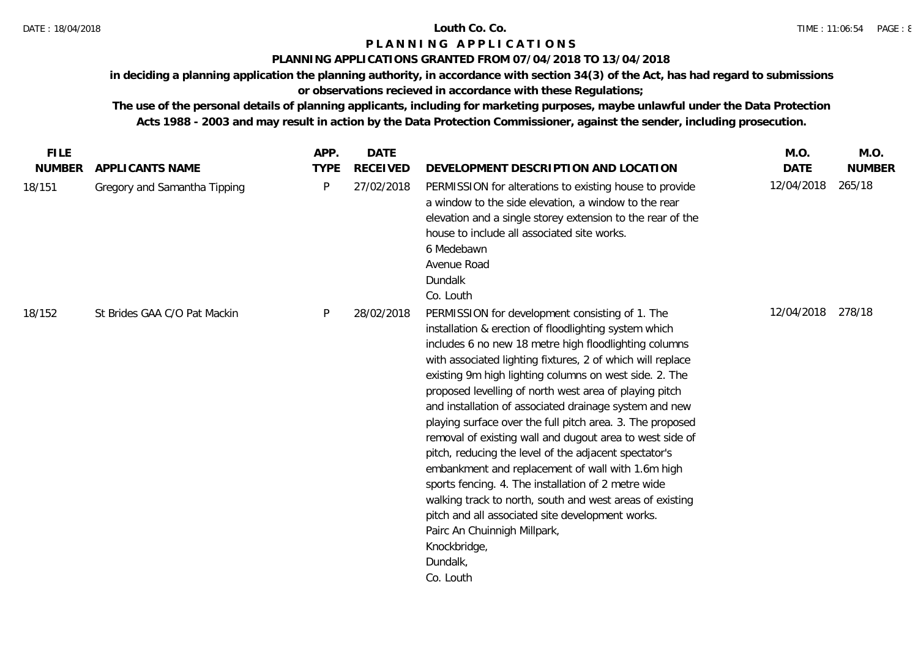### **PLANNING APPLICATIONS GRANTED FROM 07/04/2018 TO 13/04/2018**

**in deciding a planning application the planning authority, in accordance with section 34(3) of the Act, has had regard to submissions** 

# **or observations recieved in accordance with these Regulations;**

| <b>FILE</b>   |                              | APP.         | <b>DATE</b>     |                                                                                                                                                                                                                                                                                                                                                                                                                                                                                                                                                                                                                                                                                                                                                                                                                                                                                                      | M.O.        | M.O.          |
|---------------|------------------------------|--------------|-----------------|------------------------------------------------------------------------------------------------------------------------------------------------------------------------------------------------------------------------------------------------------------------------------------------------------------------------------------------------------------------------------------------------------------------------------------------------------------------------------------------------------------------------------------------------------------------------------------------------------------------------------------------------------------------------------------------------------------------------------------------------------------------------------------------------------------------------------------------------------------------------------------------------------|-------------|---------------|
| <b>NUMBER</b> | APPLICANTS NAME              | <b>TYPE</b>  | <b>RECEIVED</b> | DEVELOPMENT DESCRIPTION AND LOCATION                                                                                                                                                                                                                                                                                                                                                                                                                                                                                                                                                                                                                                                                                                                                                                                                                                                                 | <b>DATE</b> | <b>NUMBER</b> |
| 18/151        | Gregory and Samantha Tipping | $\mathsf{P}$ | 27/02/2018      | PERMISSION for alterations to existing house to provide<br>a window to the side elevation, a window to the rear<br>elevation and a single storey extension to the rear of the<br>house to include all associated site works.<br>6 Medebawn<br>Avenue Road<br>Dundalk<br>Co. Louth                                                                                                                                                                                                                                                                                                                                                                                                                                                                                                                                                                                                                    | 12/04/2018  | 265/18        |
| 18/152        | St Brides GAA C/O Pat Mackin | P            | 28/02/2018      | PERMISSION for development consisting of 1. The<br>installation & erection of floodlighting system which<br>includes 6 no new 18 metre high floodlighting columns<br>with associated lighting fixtures, 2 of which will replace<br>existing 9m high lighting columns on west side. 2. The<br>proposed levelling of north west area of playing pitch<br>and installation of associated drainage system and new<br>playing surface over the full pitch area. 3. The proposed<br>removal of existing wall and dugout area to west side of<br>pitch, reducing the level of the adjacent spectator's<br>embankment and replacement of wall with 1.6m high<br>sports fencing. 4. The installation of 2 metre wide<br>walking track to north, south and west areas of existing<br>pitch and all associated site development works.<br>Pairc An Chuinnigh Millpark,<br>Knockbridge,<br>Dundalk,<br>Co. Louth | 12/04/2018  | 278/18        |